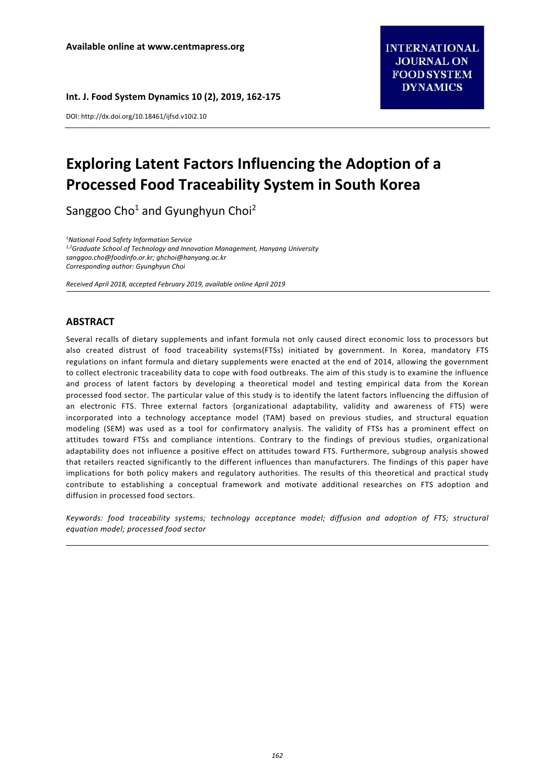**Int. J. Food System Dynamics 10 (2), 2019, 162‐175** 

DOI: http://dx.doi.org/10.18461/ijfsd.v10i2.10

# **Exploring Latent Factors Influencing the Adoption of a Processed Food Traceability System in South Korea**

Sanggoo Cho<sup>1</sup> and Gyunghyun Choi<sup>2</sup>

*1 National Food Safety Information Service 1,2Graduate School of Technology and Innovation Management, Hanyang University sanggoo.cho@foodinfo.or.kr; ghchoi@hanyang.ac.kr Corresponding author: Gyunghyun Choi* 

*Received April 2018, accepted February 2019, available online April 2019* 

## **ABSTRACT**

Several recalls of dietary supplements and infant formula not only caused direct economic loss to processors but also created distrust of food traceability systems(FTSs) initiated by government. In Korea, mandatory FTS regulations on infant formula and dietary supplements were enacted at the end of 2014, allowing the government to collect electronic traceability data to cope with food outbreaks. The aim of this study is to examine the influence and process of latent factors by developing a theoretical model and testing empirical data from the Korean processed food sector. The particular value of this study is to identify the latent factors influencing the diffusion of an electronic FTS. Three external factors (organizational adaptability, validity and awareness of FTS) were incorporated into a technology acceptance model (TAM) based on previous studies, and structural equation modeling (SEM) was used as a tool for confirmatory analysis. The validity of FTSs has a prominent effect on attitudes toward FTSs and compliance intentions. Contrary to the findings of previous studies, organizational adaptability does not influence a positive effect on attitudes toward FTS. Furthermore, subgroup analysis showed that retailers reacted significantly to the different influences than manufacturers. The findings of this paper have implications for both policy makers and regulatory authorities. The results of this theoretical and practical study contribute to establishing a conceptual framework and motivate additional researches on FTS adoption and diffusion in processed food sectors.

*Keywords: food traceability systems; technology acceptance model; diffusion and adoption of FTS; structural equation model; processed food sector*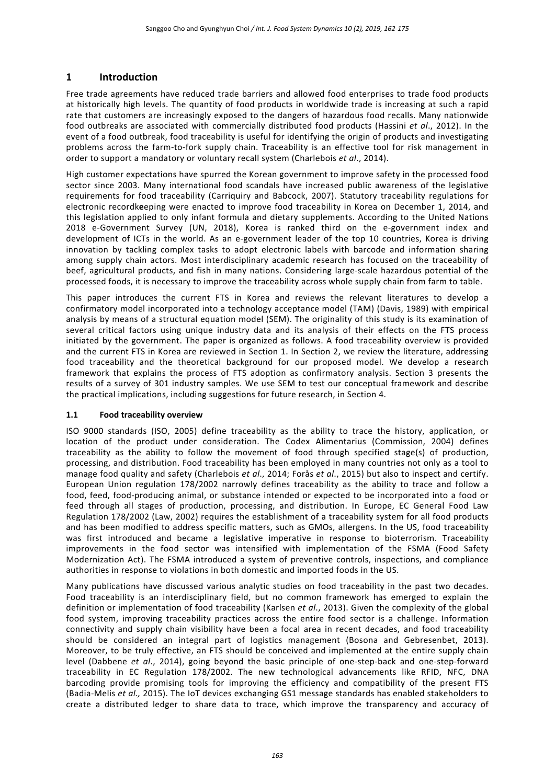# **1 Introduction**

Free trade agreements have reduced trade barriers and allowed food enterprises to trade food products at historically high levels. The quantity of food products in worldwide trade is increasing at such a rapid rate that customers are increasingly exposed to the dangers of hazardous food recalls. Many nationwide food outbreaks are associated with commercially distributed food products (Hassini *et al*., 2012). In the event of a food outbreak, food traceability is useful for identifying the origin of products and investigating problems across the farm-to-fork supply chain. Traceability is an effective tool for risk management in order to support a mandatory or voluntary recall system (Charlebois *et al*., 2014).

High customer expectations have spurred the Korean government to improve safety in the processed food sector since 2003. Many international food scandals have increased public awareness of the legislative requirements for food traceability (Carriquiry and Babcock, 2007). Statutory traceability regulations for electronic recordk**e**eping were enacted to improve food traceability in Korea on December 1, 2014, and this legislation applied to only infant formula and dietary supplements. According to the United Nations 2018 e-Government Survey (UN, 2018), Korea is ranked third on the e-government index and development of ICTs in the world. As an e-government leader of the top 10 countries, Korea is driving innovation by tackling complex tasks to adopt electronic labels with barcode and information sharing among supply chain actors. Most interdisciplinary academic research has focused on the traceability of beef, agricultural products, and fish in many nations. Considering large‐scale hazardous potential of the processed foods, it is necessary to improve the traceability across whole supply chain from farm to table.

This paper introduces the current FTS in Korea and reviews the relevant literatures to develop a confirmatory model incorporated into a technology acceptance model (TAM) (Davis, 1989) with empirical analysis by means of a structural equation model (SEM). The originality of this study is its examination of several critical factors using unique industry data and its analysis of their effects on the FTS process initiated by the government. The paper is organized as follows. A food traceability overview is provided and the current FTS in Korea are reviewed in Section 1. In Section 2, we review the literature, addressing food traceability and the theoretical background for our proposed model. We develop a research framework that explains the process of FTS adoption as confirmatory analysis. Section 3 presents the results of a survey of 301 industry samples. We use SEM to test our conceptual framework and describe the practical implications, including suggestions for future research, in Section 4.

#### **1.1 Food traceability overview**

ISO 9000 standards (ISO, 2005) define traceability as the ability to trace the history, application, or location of the product under consideration. The Codex Alimentarius (Commission, 2004) defines traceability as the ability to follow the movement of food through specified stage(s) of production, processing, and distribution. Food traceability has been employed in many countries not only as a tool to manage food quality and safety (Charlebois *et al*., 2014; Forås *et al*., 2015) but also to inspect and certify. European Union regulation 178/2002 narrowly defines traceability as the ability to trace and follow a food, feed, food-producing animal, or substance intended or expected to be incorporated into a food or feed through all stages of production, processing, and distribution. In Europe, EC General Food Law Regulation 178/2002 (Law, 2002) requires the establishment of a traceability system for all food products and has been modified to address specific matters, such as GMOs, allergens. In the US, food traceability was first introduced and became a legislative imperative in response to bioterrorism. Traceability improvements in the food sector was intensified with implementation of the FSMA (Food Safety Modernization Act). The FSMA introduced a system of preventive controls, inspections, and compliance authorities in response to violations in both domestic and imported foods in the US.

Many publications have discussed various analytic studies on food traceability in the past two decades. Food traceability is an interdisciplinary field, but no common framework has emerged to explain the definition or implementation of food traceability (Karlsen *et al*., 2013). Given the complexity of the global food system, improving traceability practices across the entire food sector is a challenge. Information connectivity and supply chain visibility have been a focal area in recent decades, and food traceability should be considered an integral part of logistics management (Bosona and Gebresenbet, 2013). Moreover, to be truly effective, an FTS should be conceived and implemented at the entire supply chain level (Dabbene *et al*., 2014), going beyond the basic principle of one‐step‐back and one‐step‐forward traceability in EC Regulation 178/2002. The new technological advancements like RFID, NFC, DNA barcoding provide promising tools for improving the efficiency and compatibility of the present FTS (Badia‐Melis *et al.,* 2015). The IoT devices exchanging GS1 message standards has enabled stakeholders to create a distributed ledger to share data to trace, which improve the transparency and accuracy of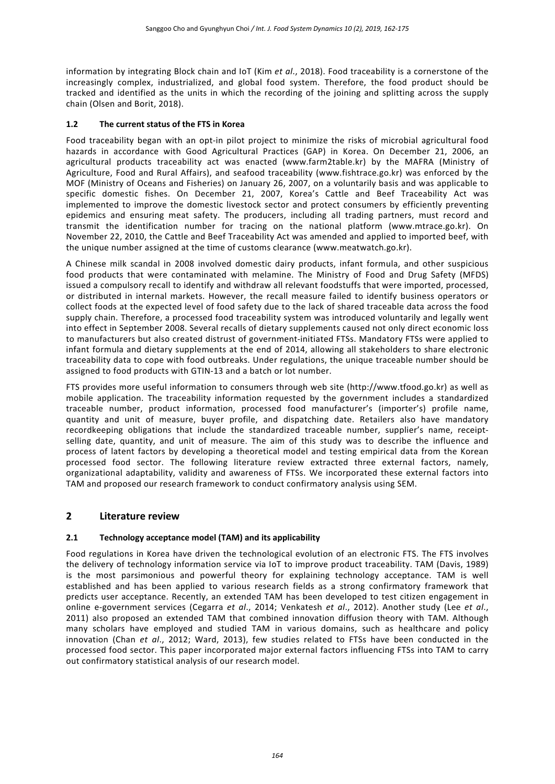information by integrating Block chain and IoT (Kim *et al*., 2018). Food traceability is a cornerstone of the increasingly complex, industrialized, and global food system. Therefore, the food product should be tracked and identified as the units in which the recording of the joining and splitting across the supply chain (Olsen and Borit, 2018).

## **1.2 The current status of the FTS in Korea**

Food traceability began with an opt-in pilot project to minimize the risks of microbial agricultural food hazards in accordance with Good Agricultural Practices (GAP) in Korea. On December 21, 2006, an agricultural products traceability act was enacted (www.farm2table.kr) by the MAFRA (Ministry of Agriculture, Food and Rural Affairs), and seafood traceability (www.fishtrace.go.kr) was enforced by the MOF (Ministry of Oceans and Fisheries) on January 26, 2007, on a voluntarily basis and was applicable to specific domestic fishes. On December 21, 2007, Korea's Cattle and Beef Traceability Act was implemented to improve the domestic livestock sector and protect consumers by efficiently preventing epidemics and ensuring meat safety. The producers, including all trading partners, must record and transmit the identification number for tracing on the national platform (www.mtrace.go.kr). On November 22, 2010, the Cattle and Beef Traceability Act was amended and applied to imported beef, with the unique number assigned at the time of customs clearance (www.meatwatch.go.kr).

A Chinese milk scandal in 2008 involved domestic dairy products, infant formula, and other suspicious food products that were contaminated with melamine. The Ministry of Food and Drug Safety (MFDS) issued a compulsory recall to identify and withdraw all relevant foodstuffs that were imported, processed, or distributed in internal markets. However, the recall measure failed to identify business operators or collect foods at the expected level of food safety due to the lack of shared traceable data across the food supply chain. Therefore, a processed food traceability system was introduced voluntarily and legally went into effect in September 2008. Several recalls of dietary supplements caused not only direct economic loss to manufacturers but also created distrust of government‐initiated FTSs. Mandatory FTSs were applied to infant formula and dietary supplements at the end of 2014, allowing all stakeholders to share electronic traceability data to cope with food outbreaks. Under regulations, the unique traceable number should be assigned to food products with GTIN‐13 and a batch or lot number.

FTS provides more useful information to consumers through web site (http://www.tfood.go.kr) as well as mobile application. The traceability information requested by the government includes a standardized traceable number, product information, processed food manufacturer's (importer's) profile name, quantity and unit of measure, buyer profile, and dispatching date. Retailers also have mandatory recordkeeping obligations that include the standardized traceable number, supplier's name, receipt‐ selling date, quantity, and unit of measure. The aim of this study was to describe the influence and process of latent factors by developing a theoretical model and testing empirical data from the Korean processed food sector. The following literature review extracted three external factors, namely, organizational adaptability, validity and awareness of FTSs. We incorporated these external factors into TAM and proposed our research framework to conduct confirmatory analysis using SEM.

# **2 Literature review**

## **2.1 Technology acceptance model (TAM) and its applicability**

Food regulations in Korea have driven the technological evolution of an electronic FTS. The FTS involves the delivery of technology information service via IoT to improve product traceability. TAM (Davis, 1989) is the most parsimonious and powerful theory for explaining technology acceptance. TAM is well established and has been applied to various research fields as a strong confirmatory framework that predicts user acceptance. Recently, an extended TAM has been developed to test citizen engagement in online e‐government services (Cegarra *et al*., 2014; Venkatesh *et al*., 2012). Another study (Lee *et al*., 2011) also proposed an extended TAM that combined innovation diffusion theory with TAM. Although many scholars have employed and studied TAM in various domains, such as healthcare and policy innovation (Chan *et al*., 2012; Ward, 2013), few studies related to FTSs have been conducted in the processed food sector. This paper incorporated major external factors influencing FTSs into TAM to carry out confirmatory statistical analysis of our research model.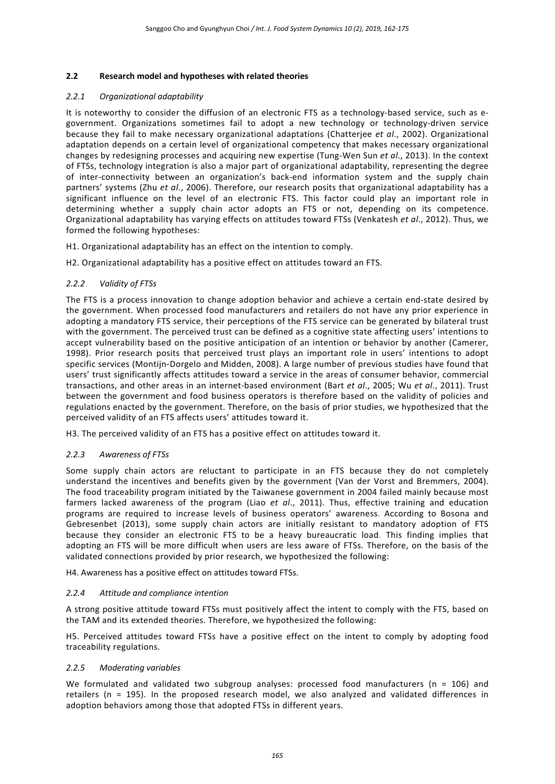### **2.2 Research model and hypotheses with related theories**

#### *2.2.1 Organizational adaptability*

It is noteworthy to consider the diffusion of an electronic FTS as a technology-based service, such as egovernment. Organizations sometimes fail to adopt a new technology or technology-driven service because they fail to make necessary organizational adaptations (Chatterjee *et al*., 2002). Organizational adaptation depends on a certain level of organizational competency that makes necessary organizational changes by redesigning processes and acquiring new expertise (Tung‐Wen Sun *et al*., 2013). In the context of FTSs, technology integration is also a major part of organizational adaptability, representing the degree of inter-connectivity between an organization's back-end information system and the supply chain partners' systems (Zhu *et al*., 2006). Therefore, our research posits that organizational adaptability has a significant influence on the level of an electronic FTS. This factor could play an important role in determining whether a supply chain actor adopts an FTS or not, depending on its competence. Organizational adaptability has varying effects on attitudes toward FTSs (Venkatesh *et al*., 2012). Thus, we formed the following hypotheses:

H1. Organizational adaptability has an effect on the intention to comply.

H2. Organizational adaptability has a positive effect on attitudes toward an FTS.

## *2.2.2 Validity of FTSs*

The FTS is a process innovation to change adoption behavior and achieve a certain end-state desired by the government. When processed food manufacturers and retailers do not have any prior experience in adopting a mandatory FTS service, their perceptions of the FTS service can be generated by bilateral trust with the government. The perceived trust can be defined as a cognitive state affecting users' intentions to accept vulnerability based on the positive anticipation of an intention or behavior by another (Camerer, 1998). Prior research posits that perceived trust plays an important role in users' intentions to adopt specific services (Montijn-Dorgelo and Midden, 2008). A large number of previous studies have found that users' trust significantly affects attitudes toward a service in the areas of consumer behavior, commercial transactions, and other areas in an internet‐based environment (Bart *et al*., 2005; Wu *et al*., 2011). Trust between the government and food business operators is therefore based on the validity of policies and regulations enacted by the government. Therefore, on the basis of prior studies, we hypothesized that the perceived validity of an FTS affects users' attitudes toward it.

H3. The perceived validity of an FTS has a positive effect on attitudes toward it.

#### *2.2.3 Awareness of FTSs*

Some supply chain actors are reluctant to participate in an FTS because they do not completely understand the incentives and benefits given by the government (Van der Vorst and Bremmers, 2004). The food traceability program initiated by the Taiwanese government in 2004 failed mainly because most farmers lacked awareness of the program (Liao *et al*., 2011). Thus, effective training and education programs are required to increase levels of business operators' awareness. According to Bosona and Gebresenbet (2013), some supply chain actors are initially resistant to mandatory adoption of FTS because they consider an electronic FTS to be a heavy bureaucratic load. This finding implies that adopting an FTS will be more difficult when users are less aware of FTSs. Therefore, on the basis of the validated connections provided by prior research, we hypothesized the following:

H4. Awareness has a positive effect on attitudes toward FTSs.

#### *2.2.4 Attitude and compliance intention*

A strong positive attitude toward FTSs must positively affect the intent to comply with the FTS, based on the TAM and its extended theories. Therefore, we hypothesized the following:

H5. Perceived attitudes toward FTSs have a positive effect on the intent to comply by adopting food traceability regulations.

### *2.2.5 Moderating variables*

We formulated and validated two subgroup analyses: processed food manufacturers ( $n = 106$ ) and retailers (n = 195). In the proposed research model, we also analyzed and validated differences in adoption behaviors among those that adopted FTSs in different years.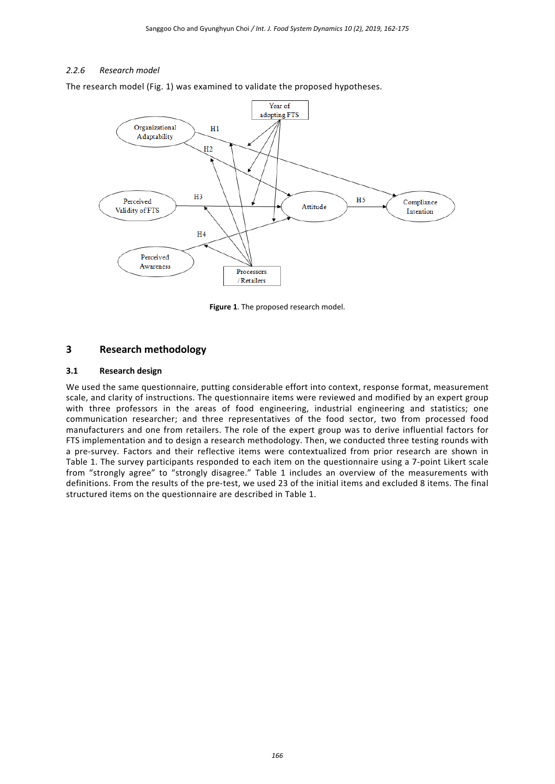### *2.2.6 Research model*

The research model (Fig. 1) was examined to validate the proposed hypotheses.



**Figure 1**. The proposed research model.

## **3 Research methodology**

#### **3.1 Research design**

We used the same questionnaire, putting considerable effort into context, response format, measurement scale, and clarity of instructions. The questionnaire items were reviewed and modified by an expert group with three professors in the areas of food engineering, industrial engineering and statistics; one communication researcher; and three representatives of the food sector, two from processed food manufacturers and one from retailers. The role of the expert group was to derive influential factors for FTS implementation and to design a research methodology. Then, we conducted three testing rounds with a pre‐survey. Factors and their reflective items were contextualized from prior research are shown in Table 1. The survey participants responded to each item on the questionnaire using a 7‐point Likert scale from "strongly agree" to "strongly disagree." Table 1 includes an overview of the measurements with definitions. From the results of the pre‐test, we used 23 of the initial items and excluded 8 items. The final structured items on the questionnaire are described in Table 1.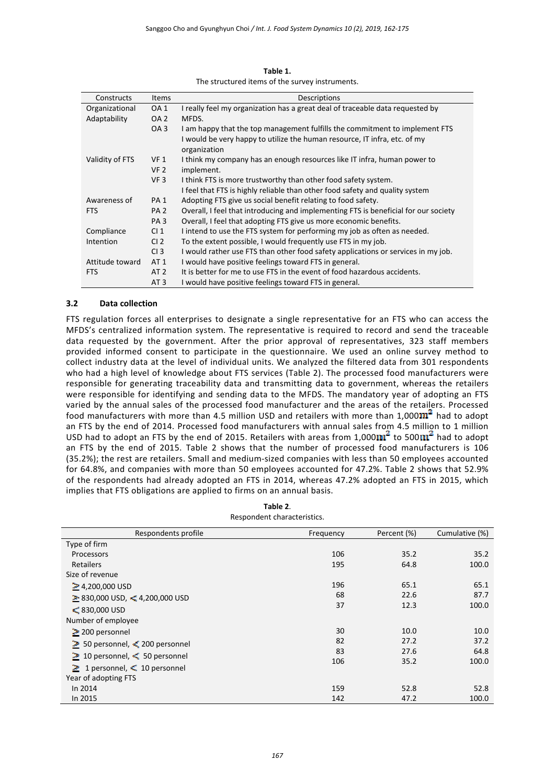| Constructs      | <b>Items</b>    | Descriptions                                                                        |
|-----------------|-----------------|-------------------------------------------------------------------------------------|
| Organizational  | OA <sub>1</sub> | I really feel my organization has a great deal of traceable data requested by       |
| Adaptability    | OA <sub>2</sub> | MFDS.                                                                               |
|                 | OA <sub>3</sub> | I am happy that the top management fulfills the commitment to implement FTS         |
|                 |                 | I would be very happy to utilize the human resource, IT infra, etc. of my           |
|                 |                 | organization                                                                        |
| Validity of FTS | VF <sub>1</sub> | I think my company has an enough resources like IT infra, human power to            |
|                 | VF <sub>2</sub> | implement.                                                                          |
|                 | VF <sub>3</sub> | I think FTS is more trustworthy than other food safety system.                      |
|                 |                 | I feel that FTS is highly reliable than other food safety and quality system        |
| Awareness of    | PA <sub>1</sub> | Adopting FTS give us social benefit relating to food safety.                        |
| <b>FTS</b>      | PA <sub>2</sub> | Overall, I feel that introducing and implementing FTS is beneficial for our society |
|                 | PA <sub>3</sub> | Overall, I feel that adopting FTS give us more economic benefits.                   |
| Compliance      | CI <sub>1</sub> | I intend to use the FTS system for performing my job as often as needed.            |
| Intention       | CI <sub>2</sub> | To the extent possible, I would frequently use FTS in my job.                       |
|                 | CI <sub>3</sub> | I would rather use FTS than other food safety applications or services in my job.   |
| Attitude toward | AT 1            | I would have positive feelings toward FTS in general.                               |
| <b>FTS</b>      | AT 2            | It is better for me to use FTS in the event of food hazardous accidents.            |
|                 | AT <sub>3</sub> | I would have positive feelings toward FTS in general.                               |

**Table 1.** The structured items of the survey instruments.

#### **3.2 Data collection**

FTS regulation forces all enterprises to designate a single representative for an FTS who can access the MFDS's centralized information system. The representative is required to record and send the traceable data requested by the government. After the prior approval of representatives, 323 staff members provided informed consent to participate in the questionnaire. We used an online survey method to collect industry data at the level of individual units. We analyzed the filtered data from 301 respondents who had a high level of knowledge about FTS services (Table 2). The processed food manufacturers were responsible for generating traceability data and transmitting data to government, whereas the retailers were responsible for identifying and sending data to the MFDS. The mandatory year of adopting an FTS varied by the annual sales of the processed food manufacturer and the areas of the retailers. Processed food manufacturers with more than 4.5 million USD and retailers with more than  $1,000$  $\text{m}^2$  had to adopt an FTS by the end of 2014. Processed food manufacturers with annual sales from 4.5 million to 1 million USD had to adopt an FTS by the end of 2015. Retailers with areas from 1,000 $\text{m}^2$  to 500 $\text{m}^2$  had to adopt an FTS by the end of 2015. Table 2 shows that the number of processed food manufacturers is 106 (35.2%); the rest are retailers. Small and medium‐sized companies with less than 50 employees accounted for 64.8%, and companies with more than 50 employees accounted for 47.2%. Table 2 shows that 52.9% of the respondents had already adopted an FTS in 2014, whereas 47.2% adopted an FTS in 2015, which implies that FTS obligations are applied to firms on an annual basis.

| Respondent characteristics.               |           |             |                |  |  |  |
|-------------------------------------------|-----------|-------------|----------------|--|--|--|
| Respondents profile                       | Frequency | Percent (%) | Cumulative (%) |  |  |  |
| Type of firm                              |           |             |                |  |  |  |
| Processors                                | 106       | 35.2        | 35.2           |  |  |  |
| Retailers                                 | 195       | 64.8        | 100.0          |  |  |  |
| Size of revenue                           |           |             |                |  |  |  |
| $\geq$ 4,200,000 USD                      | 196       | 65.1        | 65.1           |  |  |  |
| $\geq$ 830,000 USD, < 4,200,000 USD       | 68        | 22.6        | 87.7           |  |  |  |
| $\leq 830,000$ USD                        | 37        | 12.3        | 100.0          |  |  |  |
| Number of employee                        |           |             |                |  |  |  |
| $\geq$ 200 personnel                      | 30        | 10.0        | 10.0           |  |  |  |
| $\geq$ 50 personnel, $\leq$ 200 personnel | 82        | 27.2        | 37.2           |  |  |  |
| $≥$ 10 personnel, $≤$ 50 personnel        | 83        | 27.6        | 64.8           |  |  |  |
| $\geq 1$ personnel, $\leq 10$ personnel   | 106       | 35.2        | 100.0          |  |  |  |
| Year of adopting FTS                      |           |             |                |  |  |  |
| In 2014                                   | 159       | 52.8        | 52.8           |  |  |  |
| In 2015                                   | 142       | 47.2        | 100.0          |  |  |  |

**Table 2**.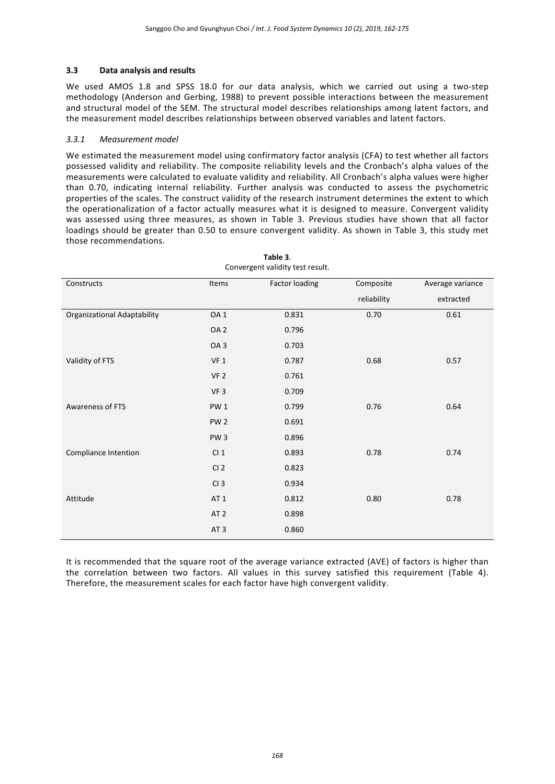### **3.3 Data analysis and results**

We used AMOS 1.8 and SPSS 18.0 for our data analysis, which we carried out using a two-step methodology (Anderson and Gerbing, 1988) to prevent possible interactions between the measurement and structural model of the SEM. The structural model describes relationships among latent factors, and the measurement model describes relationships between observed variables and latent factors.

#### *3.3.1 Measurement model*

We estimated the measurement model using confirmatory factor analysis (CFA) to test whether all factors possessed validity and reliability. The composite reliability levels and the Cronbach's alpha values of the measurements were calculated to evaluate validity and reliability. All Cronbach's alpha values were higher than 0.70, indicating internal reliability. Further analysis was conducted to assess the psychometric properties of the scales. The construct validity of the research instrument determines the extent to which the operationalization of a factor actually measures what it is designed to measure. Convergent validity was assessed using three measures, as shown in Table 3. Previous studies have shown that all factor loadings should be greater than 0.50 to ensure convergent validity. As shown in Table 3, this study met those recommendations.

**Table 3**.

| Convergent validity test result. |                 |                       |             |                  |  |  |
|----------------------------------|-----------------|-----------------------|-------------|------------------|--|--|
| Constructs                       | Items           | <b>Factor loading</b> | Composite   | Average variance |  |  |
|                                  |                 |                       | reliability | extracted        |  |  |
| Organizational Adaptability      | OA <sub>1</sub> | 0.831                 | 0.70        | 0.61             |  |  |
|                                  | OA <sub>2</sub> | 0.796                 |             |                  |  |  |
|                                  | OA <sub>3</sub> | 0.703                 |             |                  |  |  |
| Validity of FTS                  | VF <sub>1</sub> | 0.787                 | 0.68        | 0.57             |  |  |
|                                  | VF <sub>2</sub> | 0.761                 |             |                  |  |  |
|                                  | VF <sub>3</sub> | 0.709                 |             |                  |  |  |
| Awareness of FTS                 | PW1             | 0.799                 | 0.76        | 0.64             |  |  |
|                                  | PW <sub>2</sub> | 0.691                 |             |                  |  |  |
|                                  | PW <sub>3</sub> | 0.896                 |             |                  |  |  |
| Compliance Intention             | CI <sub>1</sub> | 0.893                 | 0.78        | 0.74             |  |  |
|                                  | CI <sub>2</sub> | 0.823                 |             |                  |  |  |
|                                  | CI <sub>3</sub> | 0.934                 |             |                  |  |  |
| Attitude                         | AT <sub>1</sub> | 0.812                 | 0.80        | 0.78             |  |  |
|                                  | AT <sub>2</sub> | 0.898                 |             |                  |  |  |
|                                  | AT <sub>3</sub> | 0.860                 |             |                  |  |  |

It is recommended that the square root of the average variance extracted (AVE) of factors is higher than the correlation between two factors. All values in this survey satisfied this requirement (Table 4). Therefore, the measurement scales for each factor have high convergent validity.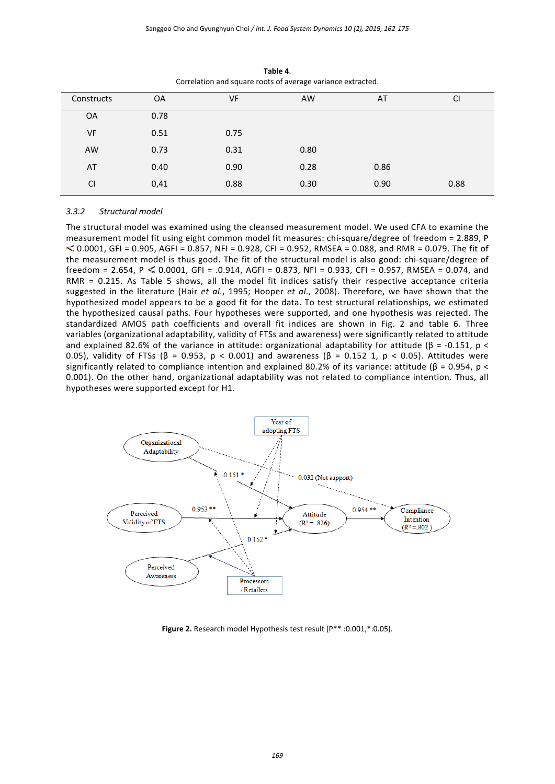| Constructs | <b>OA</b> | VF   | AW   | AT   | <b>CI</b> |
|------------|-----------|------|------|------|-----------|
| <b>OA</b>  | 0.78      |      |      |      |           |
| <b>VF</b>  | 0.51      | 0.75 |      |      |           |
| <b>AW</b>  | 0.73      | 0.31 | 0.80 |      |           |
| AT         | 0.40      | 0.90 | 0.28 | 0.86 |           |
| <b>CI</b>  | 0,41      | 0.88 | 0.30 | 0.90 | 0.88      |

**Table 4**. Correlation and square roots of average variance extracted.

#### *3.3.2 Structural model*

The structural model was examined using the cleansed measurement model. We used CFA to examine the measurement model fit using eight common model fit measures: chi-square/degree of freedom = 2.889, P  $\leq$  0.0001, GFI = 0.905, AGFI = 0.857, NFI = 0.928, CFI = 0.952, RMSEA = 0.088, and RMR = 0.079. The fit of the measurement model is thus good. The fit of the structural model is also good: chi-square/degree of  $freedom = 2.654, P \le 0.0001, GFI = .0.914, AGFI = 0.873, NFI = 0.933, CFI = 0.957, RMSEA = 0.074, and$ RMR = 0.215. As Table 5 shows, all the model fit indices satisfy their respective acceptance criteria suggested in the literature (Hair *et al*., 1995; Hooper *et al*., 2008). Therefore, we have shown that the hypothesized model appears to be a good fit for the data. To test structural relationships, we estimated the hypothesized causal paths. Four hypotheses were supported, and one hypothesis was rejected. The standardized AMOS path coefficients and overall fit indices are shown in Fig. 2 and table 6. Three variables (organizational adaptability, validity of FTSs and awareness) were significantly related to attitude and explained 82.6% of the variance in attitude: organizational adaptability for attitude  $(\beta = -0.151, p <$ 0.05), validity of FTSs (β = 0.953, p < 0.001) and awareness (β = 0.152 1, p < 0.05). Attitudes were significantly related to compliance intention and explained 80.2% of its variance: attitude ( $\beta$  = 0.954, p < 0.001). On the other hand, organizational adaptability was not related to compliance intention. Thus, all hypotheses were supported except for H1.



**Figure 2.** Research model Hypothesis test result (P\*\* :0.001,\*:0.05).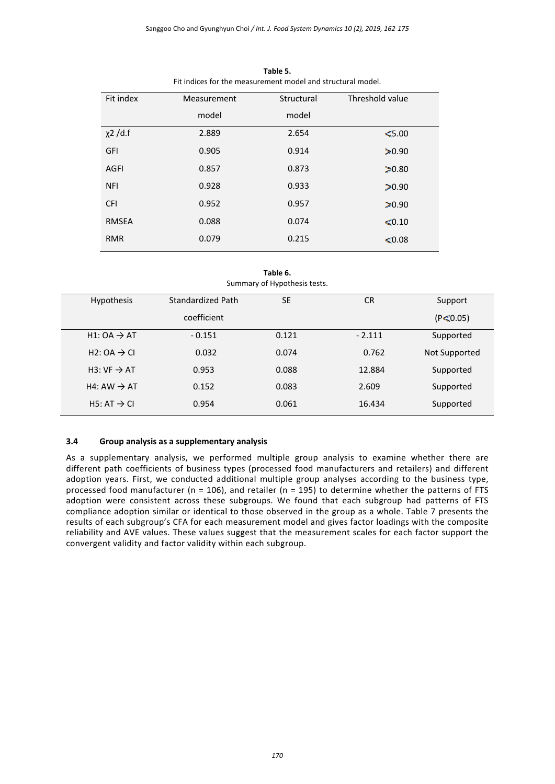| Fit index     | Measurement | Structural | Threshold value |
|---------------|-------------|------------|-----------------|
|               | model       | model      |                 |
| $\chi$ 2 /d.f | 2.889       | 2.654      | \$5.00          |
| GFI           | 0.905       | 0.914      | 20.90           |
| AGFI          | 0.857       | 0.873      | 20.80           |
| <b>NFI</b>    | 0.928       | 0.933      | 30.90           |
| <b>CFI</b>    | 0.952       | 0.957      | 20.90           |
| <b>RMSEA</b>  | 0.088       | 0.074      | < 0.10          |
| <b>RMR</b>    | 0.079       | 0.215      | \$0.08\$        |

**Table 5.** Fit indices for the measurement model and structural model.

**Table 6.** Summary of Hypothesis tests.

| Hypothesis                           | Standardized Path | <b>SE</b> | <b>CR</b> | Support        |
|--------------------------------------|-------------------|-----------|-----------|----------------|
|                                      | coefficient       |           |           | $(P \le 0.05)$ |
| $H1: OA \rightarrow AT$              | $-0.151$          | 0.121     | $-2.111$  | Supported      |
| H <sub>2</sub> : OA $\rightarrow$ Cl | 0.032             | 0.074     | 0.762     | Not Supported  |
| H3: $VF \rightarrow AT$              | 0.953             | 0.088     | 12.884    | Supported      |
| H4: AW $\rightarrow$ AT              | 0.152             | 0.083     | 2.609     | Supported      |
| H5: AT $\rightarrow$ CI              | 0.954             | 0.061     | 16.434    | Supported      |

#### **3.4 Group analysis as a supplementary analysis**

As a supplementary analysis, we performed multiple group analysis to examine whether there are different path coefficients of business types (processed food manufacturers and retailers) and different adoption years. First, we conducted additional multiple group analyses according to the business type, processed food manufacturer ( $n = 106$ ), and retailer ( $n = 195$ ) to determine whether the patterns of FTS adoption were consistent across these subgroups. We found that each subgroup had patterns of FTS compliance adoption similar or identical to those observed in the group as a whole. Table 7 presents the results of each subgroup's CFA for each measurement model and gives factor loadings with the composite reliability and AVE values. These values suggest that the measurement scales for each factor support the convergent validity and factor validity within each subgroup.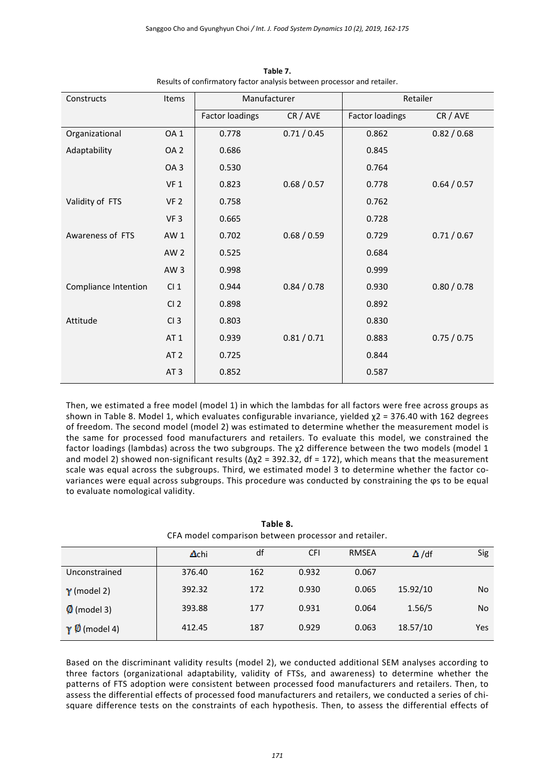| Constructs           | Items           | Manufacturer           |             | Retailer               |             |
|----------------------|-----------------|------------------------|-------------|------------------------|-------------|
|                      |                 | <b>Factor loadings</b> | CR / AVE    | <b>Factor loadings</b> | CR / AVE    |
| Organizational       | OA <sub>1</sub> | 0.778                  | 0.71/0.45   | 0.862                  | 0.82 / 0.68 |
| Adaptability         | OA <sub>2</sub> | 0.686                  |             | 0.845                  |             |
|                      | OA <sub>3</sub> | 0.530                  |             | 0.764                  |             |
|                      | VF <sub>1</sub> | 0.823                  | 0.68 / 0.57 | 0.778                  | 0.64 / 0.57 |
| Validity of FTS      | VF <sub>2</sub> | 0.758                  |             | 0.762                  |             |
|                      | VF <sub>3</sub> | 0.665                  |             | 0.728                  |             |
| Awareness of FTS     | AW <sub>1</sub> | 0.702                  | 0.68 / 0.59 | 0.729                  | 0.71/0.67   |
|                      | AW <sub>2</sub> | 0.525                  |             | 0.684                  |             |
|                      | AW <sub>3</sub> | 0.998                  |             | 0.999                  |             |
| Compliance Intention | Cl <sub>1</sub> | 0.944                  | 0.84 / 0.78 | 0.930                  | 0.80 / 0.78 |
|                      | CI <sub>2</sub> | 0.898                  |             | 0.892                  |             |
| Attitude             | CI <sub>3</sub> | 0.803                  |             | 0.830                  |             |
|                      | AT <sub>1</sub> | 0.939                  | 0.81 / 0.71 | 0.883                  | 0.75 / 0.75 |
|                      | AT <sub>2</sub> | 0.725                  |             | 0.844                  |             |
|                      | AT <sub>3</sub> | 0.852                  |             | 0.587                  |             |

**Table 7.** Results of confirmatory factor analysis between processor and retailer.

Then, we estimated a free model (model 1) in which the lambdas for all factors were free across groups as shown in Table 8. Model 1, which evaluates configurable invariance, yielded χ2 = 376.40 with 162 degrees of freedom. The second model (model 2) was estimated to determine whether the measurement model is the same for processed food manufacturers and retailers. To evaluate this model, we constrained the factor loadings (lambdas) across the two subgroups. The χ2 difference between the two models (model 1 and model 2) showed non-significant results ( $\Delta \chi$ 2 = 392.32, df = 172), which means that the measurement scale was equal across the subgroups. Third, we estimated model 3 to determine whether the factor covariances were equal across subgroups. This procedure was conducted by constraining the ϕs to be equal to evaluate nomological validity.

**Table 8.** CFA model comparison between processor and retailer.

|                       | Δchi   | df  | <b>CFI</b> | <b>RMSEA</b> | $\Delta$ /df | Sig |
|-----------------------|--------|-----|------------|--------------|--------------|-----|
| Unconstrained         | 376.40 | 162 | 0.932      | 0.067        |              |     |
| $\gamma$ (model 2)    | 392.32 | 172 | 0.930      | 0.065        | 15.92/10     | No  |
| $\emptyset$ (model 3) | 393.88 | 177 | 0.931      | 0.064        | 1.56/5       | No  |
| $\gamma$ 0 (model 4)  | 412.45 | 187 | 0.929      | 0.063        | 18.57/10     | Yes |

Based on the discriminant validity results (model 2), we conducted additional SEM analyses according to three factors (organizational adaptability, validity of FTSs, and awareness) to determine whether the patterns of FTS adoption were consistent between processed food manufacturers and retailers. Then, to assess the differential effects of processed food manufacturers and retailers, we conducted a series of chisquare difference tests on the constraints of each hypothesis. Then, to assess the differential effects of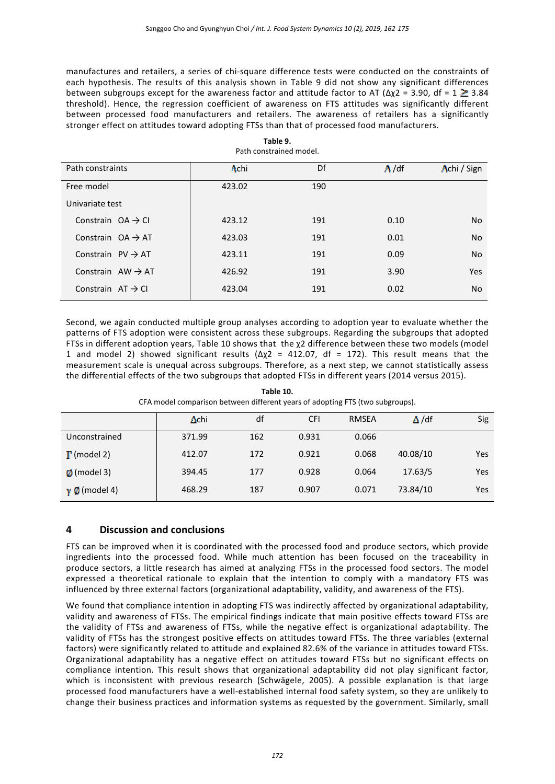manufactures and retailers, a series of chi‐square difference tests were conducted on the constraints of each hypothesis. The results of this analysis shown in Table 9 did not show any significant differences between subgroups except for the awareness factor and attitude factor to AT ( $\Delta \chi$ 2 = 3.90, df = 1  $\geq$  3.84 threshold). Hence, the regression coefficient of awareness on FTS attitudes was significantly different between processed food manufacturers and retailers. The awareness of retailers has a significantly stronger effect on attitudes toward adopting FTSs than that of processed food manufacturers.

|                               | Faul consumed model. |     |              |             |
|-------------------------------|----------------------|-----|--------------|-------------|
| Path constraints              | Achi                 | Df  | $\Lambda/df$ | Achi / Sign |
| Free model                    | 423.02               | 190 |              |             |
| Univariate test               |                      |     |              |             |
| Constrain $OA \rightarrow CI$ | 423.12               | 191 | 0.10         | <b>No</b>   |
| Constrain $OA \rightarrow AT$ | 423.03               | 191 | 0.01         | <b>No</b>   |
| Constrain $PV \rightarrow AT$ | 423.11               | 191 | 0.09         | <b>No</b>   |
| Constrain $AW \rightarrow AT$ | 426.92               | 191 | 3.90         | Yes         |
| Constrain $AT \rightarrow CI$ | 423.04               | 191 | 0.02         | <b>No</b>   |

**Table 9.** Path constrained model.

Second, we again conducted multiple group analyses according to adoption year to evaluate whether the patterns of FTS adoption were consistent across these subgroups. Regarding the subgroups that adopted FTSs in different adoption years, Table 10 shows that the χ2 difference between these two models (model 1 and model 2) showed significant results ( $\Delta \chi$ 2 = 412.07, df = 172). This result means that the measurement scale is unequal across subgroups. Therefore, as a next step, we cannot statistically assess the differential effects of the two subgroups that adopted FTSs in different years (2014 versus 2015).

**Table 10.** CFA model comparison between different years of adopting FTS (two subgroups).

|                             | Achi   | df  | <b>CFI</b> | <b>RMSEA</b> | $\Delta/df$ | Sig |
|-----------------------------|--------|-----|------------|--------------|-------------|-----|
| Unconstrained               | 371.99 | 162 | 0.931      | 0.066        |             |     |
| $\Gamma$ (model 2)          | 412.07 | 172 | 0.921      | 0.068        | 40.08/10    | Yes |
| $\emptyset$ (model 3)       | 394.45 | 177 | 0.928      | 0.064        | 17.63/5     | Yes |
| $\gamma$ ( <i>model 4</i> ) | 468.29 | 187 | 0.907      | 0.071        | 73.84/10    | Yes |

## **4 Discussion and conclusions**

FTS can be improved when it is coordinated with the processed food and produce sectors, which provide ingredients into the processed food. While much attention has been focused on the traceability in produce sectors, a little research has aimed at analyzing FTSs in the processed food sectors. The model expressed a theoretical rationale to explain that the intention to comply with a mandatory FTS was influenced by three external factors (organizational adaptability, validity, and awareness of the FTS).

We found that compliance intention in adopting FTS was indirectly affected by organizational adaptability, validity and awareness of FTSs. The empirical findings indicate that main positive effects toward FTSs are the validity of FTSs and awareness of FTSs, while the negative effect is organizational adaptability. The validity of FTSs has the strongest positive effects on attitudes toward FTSs. The three variables (external factors) were significantly related to attitude and explained 82.6% of the variance in attitudes toward FTSs. Organizational adaptability has a negative effect on attitudes toward FTSs but no significant effects on compliance intention. This result shows that organizational adaptability did not play significant factor, which is inconsistent with previous research (Schwägele, 2005). A possible explanation is that large processed food manufacturers have a well‐established internal food safety system, so they are unlikely to change their business practices and information systems as requested by the government. Similarly, small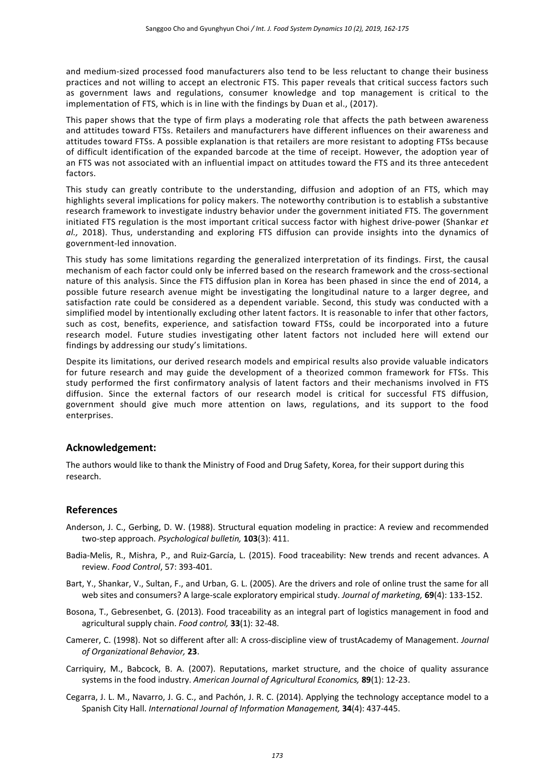and medium‐sized processed food manufacturers also tend to be less reluctant to change their business practices and not willing to accept an electronic FTS. This paper reveals that critical success factors such as government laws and regulations, consumer knowledge and top management is critical to the implementation of FTS, which is in line with the findings by Duan et al., (2017).

This paper shows that the type of firm plays a moderating role that affects the path between awareness and attitudes toward FTSs. Retailers and manufacturers have different influences on their awareness and attitudes toward FTSs. A possible explanation is that retailers are more resistant to adopting FTSs because of difficult identification of the expanded barcode at the time of receipt. However, the adoption year of an FTS was not associated with an influential impact on attitudes toward the FTS and its three antecedent factors.

This study can greatly contribute to the understanding, diffusion and adoption of an FTS, which may highlights several implications for policy makers. The noteworthy contribution is to establish a substantive research framework to investigate industry behavior under the government initiated FTS. The government initiated FTS regulation is the most important critical success factor with highest drive‐power (Shankar *et al.,* 2018). Thus, understanding and exploring FTS diffusion can provide insights into the dynamics of government‐led innovation.

This study has some limitations regarding the generalized interpretation of its findings. First, the causal mechanism of each factor could only be inferred based on the research framework and the cross‐sectional nature of this analysis. Since the FTS diffusion plan in Korea has been phased in since the end of 2014, a possible future research avenue might be investigating the longitudinal nature to a larger degree, and satisfaction rate could be considered as a dependent variable. Second, this study was conducted with a simplified model by intentionally excluding other latent factors. It is reasonable to infer that other factors, such as cost, benefits, experience, and satisfaction toward FTSs, could be incorporated into a future research model. Future studies investigating other latent factors not included here will extend our findings by addressing our study's limitations.

Despite its limitations, our derived research models and empirical results also provide valuable indicators for future research and may guide the development of a theorized common framework for FTSs. This study performed the first confirmatory analysis of latent factors and their mechanisms involved in FTS diffusion. Since the external factors of our research model is critical for successful FTS diffusion, government should give much more attention on laws, regulations, and its support to the food enterprises.

#### **Acknowledgement:**

The authors would like to thank the Ministry of Food and Drug Safety, Korea, for their support during this research.

#### **References**

- Anderson, J. C., Gerbing, D. W. (1988). Structural equation modeling in practice: A review and recommended two‐step approach. *Psychological bulletin,* **103**(3): 411.
- Badia-Melis, R., Mishra, P., and Ruiz-García, L. (2015). Food traceability: New trends and recent advances. A review. *Food Control*, 57: 393‐401.
- Bart, Y., Shankar, V., Sultan, F., and Urban, G. L. (2005). Are the drivers and role of online trust the same for all web sites and consumers? A large‐scale exploratory empirical study. *Journal of marketing,* **69**(4): 133‐152.
- Bosona, T., Gebresenbet, G. (2013). Food traceability as an integral part of logistics management in food and agricultural supply chain. *Food control,* **33**(1): 32‐48.
- Camerer, C. (1998). Not so different after all: A cross‐discipline view of trustAcademy of Management. *Journal of Organizational Behavior,* **23**.
- Carriquiry, M., Babcock, B. A. (2007). Reputations, market structure, and the choice of quality assurance systems in the food industry. *American Journal of Agricultural Economics,* **89**(1): 12‐23.
- Cegarra, J. L. M., Navarro, J. G. C., and Pachón, J. R. C. (2014). Applying the technology acceptance model to a Spanish City Hall. *International Journal of Information Management,* **34**(4): 437‐445.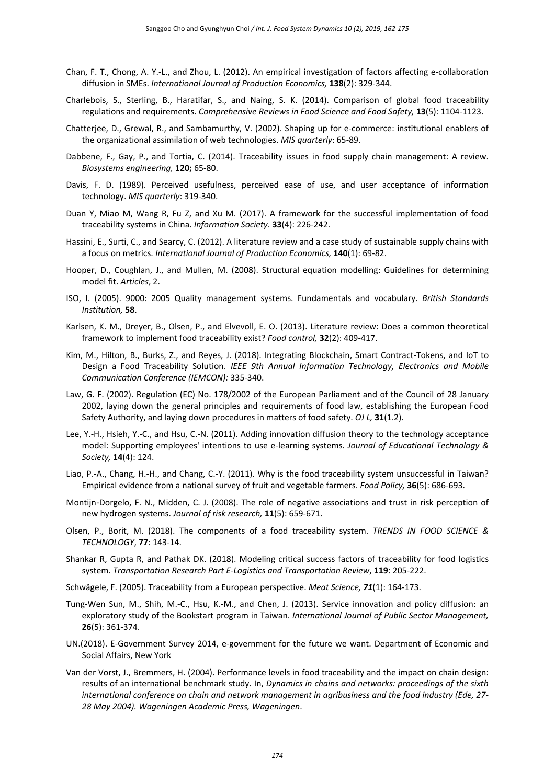- Chan, F. T., Chong, A. Y.‐L., and Zhou, L. (2012). An empirical investigation of factors affecting e‐collaboration diffusion in SMEs. *International Journal of Production Economics,* **138**(2): 329‐344.
- Charlebois, S., Sterling, B., Haratifar, S., and Naing, S. K. (2014). Comparison of global food traceability regulations and requirements. *Comprehensive Reviews in Food Science and Food Safety,* **13**(5): 1104‐1123.
- Chatterjee, D., Grewal, R., and Sambamurthy, V. (2002). Shaping up for e‐commerce: institutional enablers of the organizational assimilation of web technologies. *MIS quarterly*: 65‐89.
- Dabbene, F., Gay, P., and Tortia, C. (2014). Traceability issues in food supply chain management: A review. *Biosystems engineering,* **120;** 65‐80.
- Davis, F. D. (1989). Perceived usefulness, perceived ease of use, and user acceptance of information technology. *MIS quarterly*: 319‐340.
- Duan Y, Miao M, Wang R, Fu Z, and Xu M. (2017). A framework for the successful implementation of food traceability systems in China. *Information Society*. **33**(4): 226‐242.
- Hassini, E., Surti, C., and Searcy, C. (2012). A literature review and a case study of sustainable supply chains with a focus on metrics. *International Journal of Production Economics,* **140**(1): 69‐82.
- Hooper, D., Coughlan, J., and Mullen, M. (2008). Structural equation modelling: Guidelines for determining model fit. *Articles*, 2.
- ISO, I. (2005). 9000: 2005 Quality management systems. Fundamentals and vocabulary. *British Standards Institution,* **58**.
- Karlsen, K. M., Dreyer, B., Olsen, P., and Elvevoll, E. O. (2013). Literature review: Does a common theoretical framework to implement food traceability exist? *Food control,* **32**(2): 409‐417.
- Kim, M., Hilton, B., Burks, Z., and Reyes, J. (2018). Integrating Blockchain, Smart Contract‐Tokens, and IoT to Design a Food Traceability Solution. *IEEE 9th Annual Information Technology, Electronics and Mobile Communication Conference (IEMCON):* 335‐340.
- Law, G. F. (2002). Regulation (EC) No. 178/2002 of the European Parliament and of the Council of 28 January 2002, laying down the general principles and requirements of food law, establishing the European Food Safety Authority, and laying down procedures in matters of food safety. *OJ L,* **31**(1.2).
- Lee, Y.‐H., Hsieh, Y.‐C., and Hsu, C.‐N. (2011). Adding innovation diffusion theory to the technology acceptance model: Supporting employees' intentions to use e‐learning systems. *Journal of Educational Technology & Society,* **14**(4): 124.
- Liao, P.-A., Chang, H.-H., and Chang, C.-Y. (2011). Why is the food traceability system unsuccessful in Taiwan? Empirical evidence from a national survey of fruit and vegetable farmers. *Food Policy,* **36**(5): 686‐693.
- Montijn-Dorgelo, F. N., Midden, C. J. (2008). The role of negative associations and trust in risk perception of new hydrogen systems. *Journal of risk research,* **11**(5): 659‐671.
- Olsen, P., Borit, M. (2018). The components of a food traceability system. *TRENDS IN FOOD SCIENCE & TECHNOLOGY*, **77**: 143‐14.
- Shankar R, Gupta R, and Pathak DK. (2018). Modeling critical success factors of traceability for food logistics system. *Transportation Research Part E‐Logistics and Transportation Review*, **119**: 205‐222.
- Schwägele, F. (2005). Traceability from a European perspective. *Meat Science, 71*(1): 164‐173.
- Tung-Wen Sun, M., Shih, M.-C., Hsu, K.-M., and Chen, J. (2013). Service innovation and policy diffusion: an exploratory study of the Bookstart program in Taiwan. *International Journal of Public Sector Management,*  **26**(5): 361‐374.
- UN.(2018). E‐Government Survey 2014, e‐government for the future we want. Department of Economic and Social Affairs, New York
- Van der Vorst, J., Bremmers, H. (2004). Performance levels in food traceability and the impact on chain design: results of an international benchmark study. In, *Dynamics in chains and networks: proceedings of the sixth international conference on chain and network management in agribusiness and the food industry (Ede, 27‐ 28 May 2004). Wageningen Academic Press, Wageningen*.